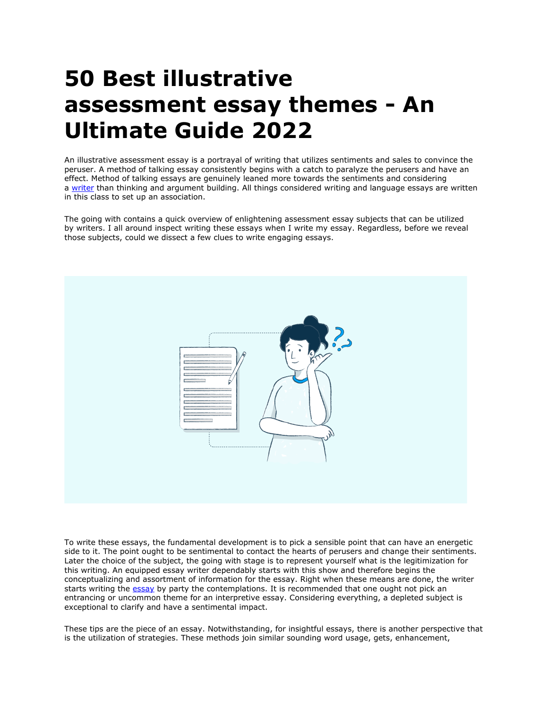## **50 Best illustrative assessment essay themes - An Ultimate Guide 2022**

An illustrative assessment essay is a portrayal of writing that utilizes sentiments and sales to convince the peruser. A method of talking essay consistently begins with a catch to paralyze the perusers and have an effect. Method of talking essays are genuinely leaned more towards the sentiments and considering a [writer](https://www.collegeessay.org/) than thinking and argument building. All things considered writing and language essays are written in this class to set up an association.

The going with contains a quick overview of enlightening assessment essay subjects that can be utilized by writers. I all around inspect writing these essays when I write my essay. Regardless, before we reveal those subjects, could we dissect a few clues to write engaging essays.



To write these essays, the fundamental development is to pick a sensible point that can have an energetic side to it. The point ought to be sentimental to contact the hearts of perusers and change their sentiments. Later the choice of the subject, the going with stage is to represent yourself what is the legitimization for this writing. An equipped essay writer dependably starts with this show and therefore begins the conceptualizing and assortment of information for the essay. Right when these means are done, the writer starts writing the [essay](https://www.collegeessay.org/) by party the contemplations. It is recommended that one ought not pick an entrancing or uncommon theme for an interpretive essay. Considering everything, a depleted subject is exceptional to clarify and have a sentimental impact.

These tips are the piece of an essay. Notwithstanding, for insightful essays, there is another perspective that is the utilization of strategies. These methods join similar sounding word usage, gets, enhancement,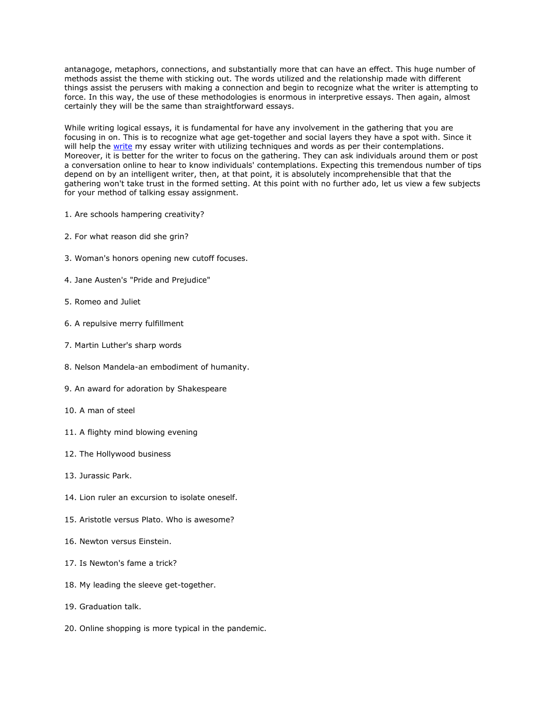antanagoge, metaphors, connections, and substantially more that can have an effect. This huge number of methods assist the theme with sticking out. The words utilized and the relationship made with different things assist the perusers with making a connection and begin to recognize what the writer is attempting to force. In this way, the use of these methodologies is enormous in interpretive essays. Then again, almost certainly they will be the same than straightforward essays.

While writing logical essays, it is fundamental for have any involvement in the gathering that you are focusing in on. This is to recognize what age get-together and social layers they have a spot with. Since it will help the [write](https://www.collegeessay.org/) my essay writer with utilizing techniques and words as per their contemplations. Moreover, it is better for the writer to focus on the gathering. They can ask individuals around them or post a conversation online to hear to know individuals' contemplations. Expecting this tremendous number of tips depend on by an intelligent writer, then, at that point, it is absolutely incomprehensible that that the gathering won't take trust in the formed setting. At this point with no further ado, let us view a few subjects for your method of talking essay assignment.

- 1. Are schools hampering creativity?
- 2. For what reason did she grin?
- 3. Woman's honors opening new cutoff focuses.
- 4. Jane Austen's "Pride and Prejudice"
- 5. Romeo and Juliet
- 6. A repulsive merry fulfillment
- 7. Martin Luther's sharp words
- 8. Nelson Mandela-an embodiment of humanity.
- 9. An award for adoration by Shakespeare
- 10. A man of steel
- 11. A flighty mind blowing evening
- 12. The Hollywood business
- 13. Jurassic Park.
- 14. Lion ruler an excursion to isolate oneself.
- 15. Aristotle versus Plato. Who is awesome?
- 16. Newton versus Einstein.
- 17. Is Newton's fame a trick?
- 18. My leading the sleeve get-together.
- 19. Graduation talk.
- 20. Online shopping is more typical in the pandemic.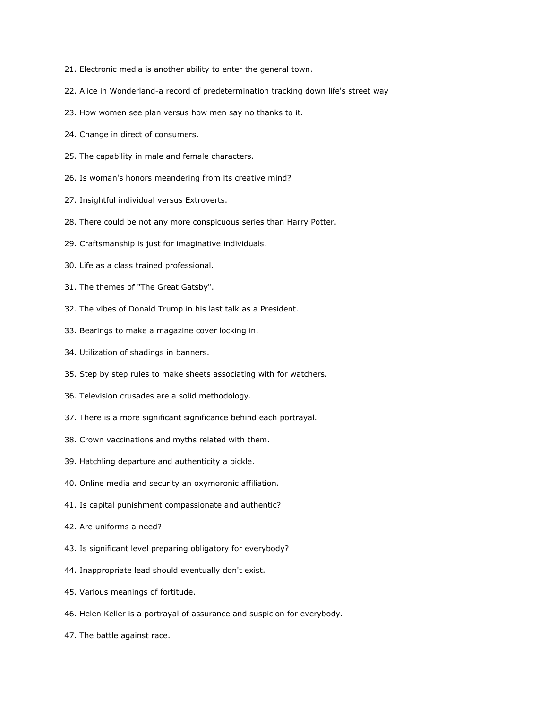- 21. Electronic media is another ability to enter the general town.
- 22. Alice in Wonderland-a record of predetermination tracking down life's street way
- 23. How women see plan versus how men say no thanks to it.
- 24. Change in direct of consumers.
- 25. The capability in male and female characters.
- 26. Is woman's honors meandering from its creative mind?
- 27. Insightful individual versus Extroverts.
- 28. There could be not any more conspicuous series than Harry Potter.
- 29. Craftsmanship is just for imaginative individuals.
- 30. Life as a class trained professional.
- 31. The themes of "The Great Gatsby".
- 32. The vibes of Donald Trump in his last talk as a President.
- 33. Bearings to make a magazine cover locking in.
- 34. Utilization of shadings in banners.
- 35. Step by step rules to make sheets associating with for watchers.
- 36. Television crusades are a solid methodology.
- 37. There is a more significant significance behind each portrayal.
- 38. Crown vaccinations and myths related with them.
- 39. Hatchling departure and authenticity a pickle.
- 40. Online media and security an oxymoronic affiliation.
- 41. Is capital punishment compassionate and authentic?
- 42. Are uniforms a need?
- 43. Is significant level preparing obligatory for everybody?
- 44. Inappropriate lead should eventually don't exist.
- 45. Various meanings of fortitude.
- 46. Helen Keller is a portrayal of assurance and suspicion for everybody.
- 47. The battle against race.